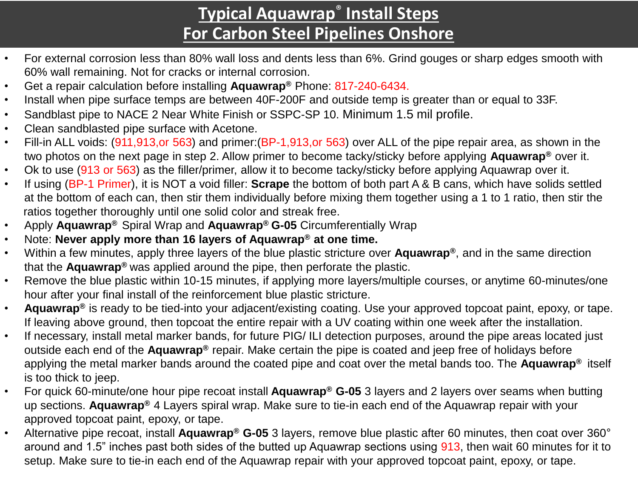## **Typical Aquawrap**® **Install Steps For Carbon Steel Pipelines Onshore**

- For external corrosion less than 80% wall loss and dents less than 6%. Grind gouges or sharp edges smooth with 60% wall remaining. Not for cracks or internal corrosion.
- Get a repair calculation before installing **Aquawrap®** Phone: 817-240-6434.
- Install when pipe surface temps are between 40F-200F and outside temp is greater than or equal to 33F.
- Sandblast pipe to NACE 2 Near White Finish or SSPC-SP 10. Minimum 1.5 mil profile.
- Clean sandblasted pipe surface with Acetone.
- Fill-in ALL voids: (911,913,or 563) and primer:(BP-1,913,or 563) over ALL of the pipe repair area, as shown in the two photos on the next page in step 2. Allow primer to become tacky/sticky before applying **Aquawrap®** over it.
- Ok to use (913 or 563) as the filler/primer, allow it to become tacky/sticky before applying Aquawrap over it.
- If using (BP-1 Primer), it is NOT a void filler: **Scrape** the bottom of both part A & B cans, which have solids settled at the bottom of each can, then stir them individually before mixing them together using a 1 to 1 ratio, then stir the ratios together thoroughly until one solid color and streak free.
- Apply **Aquawrap®** Spiral Wrap and **Aquawrap® G-05** Circumferentially Wrap
- Note: **Never apply more than 16 layers of Aquawrap® at one time.**
- Within a few minutes, apply three layers of the blue plastic stricture over **Aquawrap®**, and in the same direction that the **Aquawrap®** was applied around the pipe, then perforate the plastic.
- Remove the blue plastic within 10-15 minutes, if applying more layers/multiple courses, or anytime 60-minutes/one hour after your final install of the reinforcement blue plastic stricture.
- **Aquawrap®** is ready to be tied-into your adjacent/existing coating. Use your approved topcoat paint, epoxy, or tape. If leaving above ground, then topcoat the entire repair with a UV coating within one week after the installation.
- If necessary, install metal marker bands, for future PIG/ ILI detection purposes, around the pipe areas located just outside each end of the **Aquawrap®** repair. Make certain the pipe is coated and jeep free of holidays before applying the metal marker bands around the coated pipe and coat over the metal bands too. The **Aquawrap®** itself is too thick to jeep.
- For quick 60-minute/one hour pipe recoat install **Aquawrap® G-05** 3 layers and 2 layers over seams when butting up sections. **Aquawrap®** 4 Layers spiral wrap. Make sure to tie-in each end of the Aquawrap repair with your approved topcoat paint, epoxy, or tape.
- Alternative pipe recoat, install **Aquawrap® G-05** 3 layers, remove blue plastic after 60 minutes, then coat over 360° around and 1.5" inches past both sides of the butted up Aquawrap sections using 913, then wait 60 minutes for it to setup. Make sure to tie-in each end of the Aquawrap repair with your approved topcoat paint, epoxy, or tape.